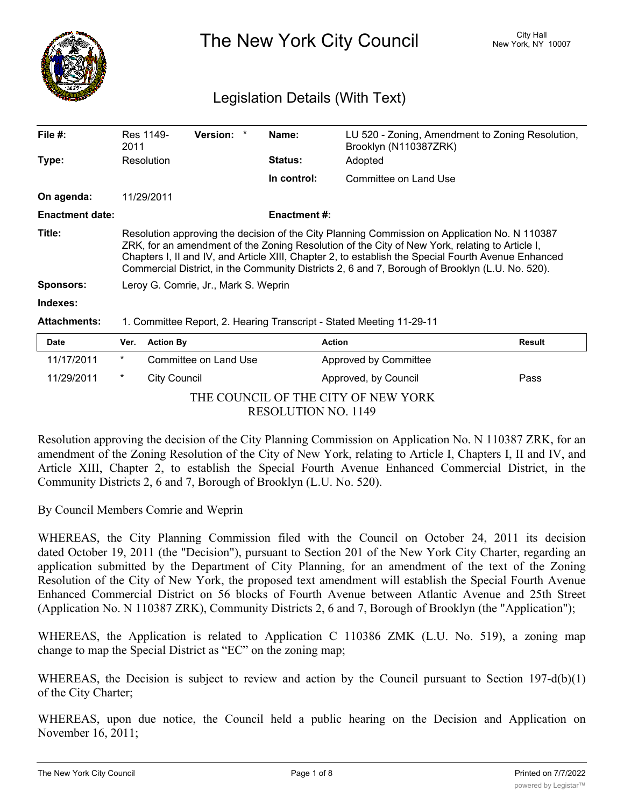

The New York City Council New York, NY 10007

# Legislation Details (With Text)

| File $#$ :                 | 2011                                                                                                                                                                                                                                                                                                                                                                                                                                              | Res 1149-           | <b>Version:</b>       |  | Name:               | LU 520 - Zoning, Amendment to Zoning Resolution,<br>Brooklyn (N110387ZRK) |               |  |
|----------------------------|---------------------------------------------------------------------------------------------------------------------------------------------------------------------------------------------------------------------------------------------------------------------------------------------------------------------------------------------------------------------------------------------------------------------------------------------------|---------------------|-----------------------|--|---------------------|---------------------------------------------------------------------------|---------------|--|
| Type:                      |                                                                                                                                                                                                                                                                                                                                                                                                                                                   | Resolution          |                       |  | <b>Status:</b>      | Adopted                                                                   |               |  |
|                            |                                                                                                                                                                                                                                                                                                                                                                                                                                                   |                     |                       |  | In control:         | Committee on Land Use                                                     |               |  |
| On agenda:                 |                                                                                                                                                                                                                                                                                                                                                                                                                                                   | 11/29/2011          |                       |  |                     |                                                                           |               |  |
| <b>Enactment date:</b>     |                                                                                                                                                                                                                                                                                                                                                                                                                                                   |                     |                       |  | <b>Enactment #:</b> |                                                                           |               |  |
| Title:<br><b>Sponsors:</b> | Resolution approving the decision of the City Planning Commission on Application No. N 110387<br>ZRK, for an amendment of the Zoning Resolution of the City of New York, relating to Article I,<br>Chapters I, II and IV, and Article XIII, Chapter 2, to establish the Special Fourth Avenue Enhanced<br>Commercial District, in the Community Districts 2, 6 and 7, Borough of Brooklyn (L.U. No. 520).<br>Leroy G. Comrie, Jr., Mark S. Weprin |                     |                       |  |                     |                                                                           |               |  |
| Indexes:                   |                                                                                                                                                                                                                                                                                                                                                                                                                                                   |                     |                       |  |                     |                                                                           |               |  |
| <b>Attachments:</b>        | 1. Committee Report, 2. Hearing Transcript - Stated Meeting 11-29-11                                                                                                                                                                                                                                                                                                                                                                              |                     |                       |  |                     |                                                                           |               |  |
| Date                       | Ver.                                                                                                                                                                                                                                                                                                                                                                                                                                              | <b>Action By</b>    |                       |  |                     | <b>Action</b>                                                             | <b>Result</b> |  |
| 11/17/2011                 | $^\star$                                                                                                                                                                                                                                                                                                                                                                                                                                          |                     | Committee on Land Use |  |                     | Approved by Committee                                                     |               |  |
| 11/29/2011                 | *                                                                                                                                                                                                                                                                                                                                                                                                                                                 | <b>City Council</b> |                       |  |                     | Approved, by Council                                                      | Pass          |  |

THE COUNCIL OF THE CITY OF NEW YORK RESOLUTION NO. 1149

Resolution approving the decision of the City Planning Commission on Application No. N 110387 ZRK, for an amendment of the Zoning Resolution of the City of New York, relating to Article I, Chapters I, II and IV, and Article XIII, Chapter 2, to establish the Special Fourth Avenue Enhanced Commercial District, in the Community Districts 2, 6 and 7, Borough of Brooklyn (L.U. No. 520).

By Council Members Comrie and Weprin

WHEREAS, the City Planning Commission filed with the Council on October 24, 2011 its decision dated October 19, 2011 (the "Decision"), pursuant to Section 201 of the New York City Charter, regarding an application submitted by the Department of City Planning, for an amendment of the text of the Zoning Resolution of the City of New York, the proposed text amendment will establish the Special Fourth Avenue Enhanced Commercial District on 56 blocks of Fourth Avenue between Atlantic Avenue and 25th Street (Application No. N 110387 ZRK), Community Districts 2, 6 and 7, Borough of Brooklyn (the "Application");

WHEREAS, the Application is related to Application C 110386 ZMK (L.U. No. 519), a zoning map change to map the Special District as "EC" on the zoning map;

WHEREAS, the Decision is subject to review and action by the Council pursuant to Section 197-d(b)(1) of the City Charter;

WHEREAS, upon due notice, the Council held a public hearing on the Decision and Application on November 16, 2011;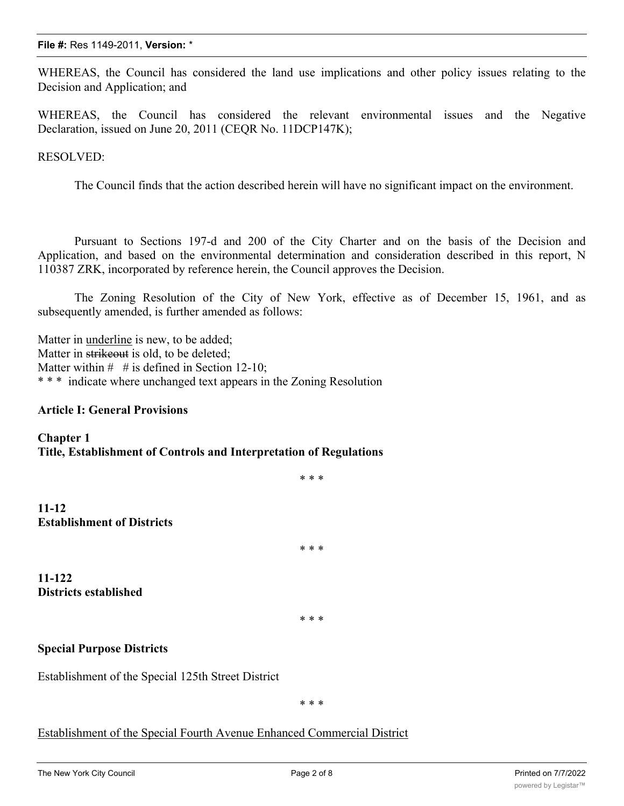WHEREAS, the Council has considered the land use implications and other policy issues relating to the Decision and Application; and

WHEREAS, the Council has considered the relevant environmental issues and the Negative Declaration, issued on June 20, 2011 (CEQR No. 11DCP147K);

RESOLVED:

The Council finds that the action described herein will have no significant impact on the environment.

Pursuant to Sections 197-d and 200 of the City Charter and on the basis of the Decision and Application, and based on the environmental determination and consideration described in this report, N 110387 ZRK, incorporated by reference herein, the Council approves the Decision.

The Zoning Resolution of the City of New York, effective as of December 15, 1961, and as subsequently amended, is further amended as follows:

Matter in underline is new, to be added; Matter in strikeout is old, to be deleted; Matter within  $\#$  # is defined in Section 12-10; \* \* \* indicate where unchanged text appears in the Zoning Resolution

#### **Article I: General Provisions**

**Chapter 1 Title, Establishment of Controls and Interpretation of Regulations**

**11-12 Establishment of Districts**

**11-122 Districts established**

\* \* \*

\* \* \*

\* \* \*

#### **Special Purpose Districts**

Establishment of the Special 125th Street District

\* \* \*

#### Establishment of the Special Fourth Avenue Enhanced Commercial District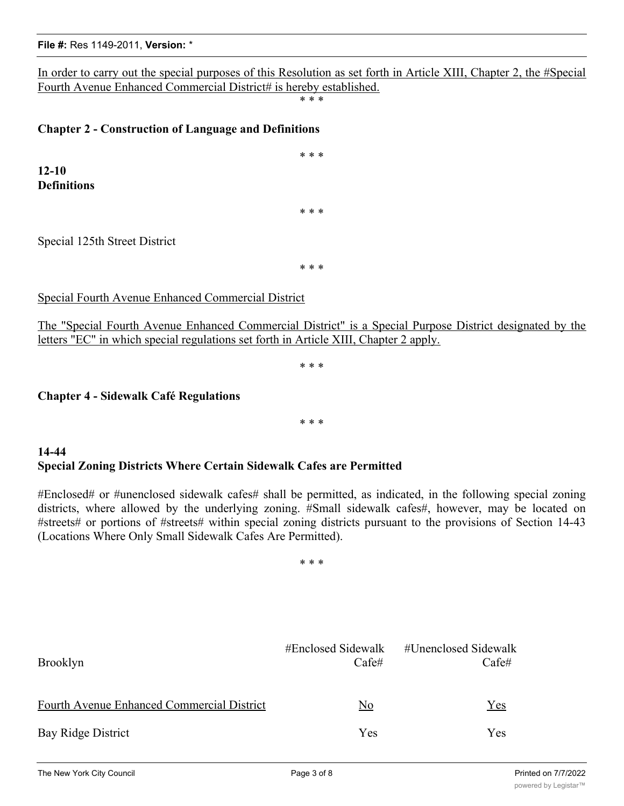In order to carry out the special purposes of this Resolution as set forth in Article XIII, Chapter 2, the #Special Fourth Avenue Enhanced Commercial District# is hereby established.

\* \* \*

\* \* \*

\* \* \*

### **Chapter 2 - Construction of Language and Definitions**

**12-10 Definitions**

Special 125th Street District

\* \* \*

Special Fourth Avenue Enhanced Commercial District

The "Special Fourth Avenue Enhanced Commercial District" is a Special Purpose District designated by the letters "EC" in which special regulations set forth in Article XIII, Chapter 2 apply.

\* \* \*

**Chapter 4 - Sidewalk Café Regulations**

\* \* \*

### **14-44 Special Zoning Districts Where Certain Sidewalk Cafes are Permitted**

#Enclosed# or #unenclosed sidewalk cafes# shall be permitted, as indicated, in the following special zoning districts, where allowed by the underlying zoning. #Small sidewalk cafes#, however, may be located on #streets# or portions of #streets# within special zoning districts pursuant to the provisions of Section 14-43 (Locations Where Only Small Sidewalk Cafes Are Permitted).

\* \* \*

| Brooklyn                                          | #Enclosed Sidewalk<br>Cafe# | #Unenclosed Sidewalk<br>Cafe# |
|---------------------------------------------------|-----------------------------|-------------------------------|
| <b>Fourth Avenue Enhanced Commercial District</b> | No                          | Yes                           |
| Bay Ridge District                                | Yes                         | Yes                           |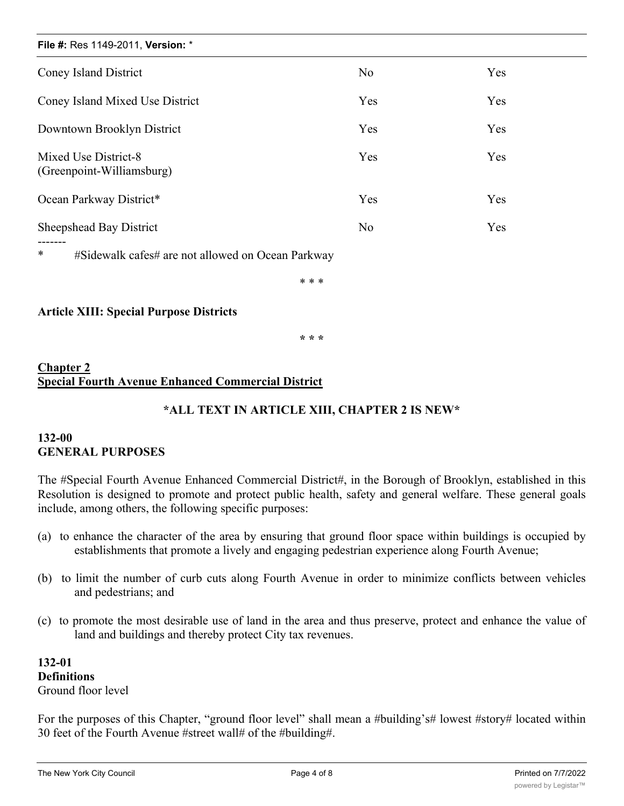| File #: Res 1149-2011, Version: *                           |                |     |  |  |  |  |
|-------------------------------------------------------------|----------------|-----|--|--|--|--|
| <b>Coney Island District</b>                                | N <sub>o</sub> | Yes |  |  |  |  |
| Coney Island Mixed Use District                             | Yes            | Yes |  |  |  |  |
| Downtown Brooklyn District                                  | Yes            | Yes |  |  |  |  |
| Mixed Use District-8<br>(Greenpoint-Williamsburg)           | Yes            | Yes |  |  |  |  |
| Ocean Parkway District*                                     | Yes            | Yes |  |  |  |  |
| Sheepshead Bay District                                     | No             | Yes |  |  |  |  |
| $\ast$<br>#Sidewalk cafes# are not allowed on Ocean Parkway |                |     |  |  |  |  |

\* \* \*

### **Article XIII: Special Purpose Districts**

**\* \* \***

## **Chapter 2 Special Fourth Avenue Enhanced Commercial District**

## **\*ALL TEXT IN ARTICLE XIII, CHAPTER 2 IS NEW\***

## **132-00 GENERAL PURPOSES**

The #Special Fourth Avenue Enhanced Commercial District#, in the Borough of Brooklyn, established in this Resolution is designed to promote and protect public health, safety and general welfare. These general goals include, among others, the following specific purposes:

- (a) to enhance the character of the area by ensuring that ground floor space within buildings is occupied by establishments that promote a lively and engaging pedestrian experience along Fourth Avenue;
- (b) to limit the number of curb cuts along Fourth Avenue in order to minimize conflicts between vehicles and pedestrians; and
- (c) to promote the most desirable use of land in the area and thus preserve, protect and enhance the value of land and buildings and thereby protect City tax revenues.

**132-01 Definitions** Ground floor level

For the purposes of this Chapter, "ground floor level" shall mean a #building's# lowest #story# located within 30 feet of the Fourth Avenue #street wall# of the #building#.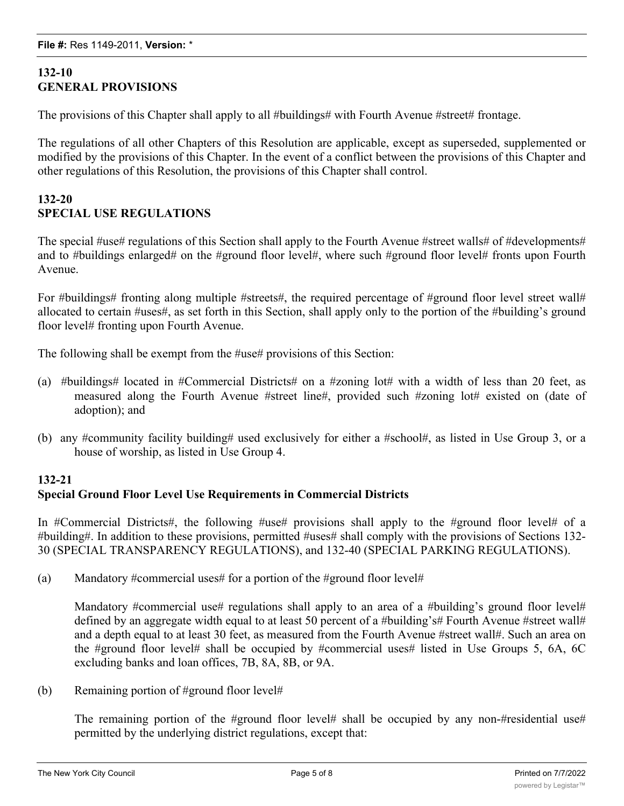## **132-10 GENERAL PROVISIONS**

The provisions of this Chapter shall apply to all #buildings# with Fourth Avenue #street# frontage.

The regulations of all other Chapters of this Resolution are applicable, except as superseded, supplemented or modified by the provisions of this Chapter. In the event of a conflict between the provisions of this Chapter and other regulations of this Resolution, the provisions of this Chapter shall control.

### **132-20 SPECIAL USE REGULATIONS**

The special #use# regulations of this Section shall apply to the Fourth Avenue #street walls# of #developments# and to #buildings enlarged# on the #ground floor level#, where such #ground floor level# fronts upon Fourth Avenue.

For #buildings# fronting along multiple #streets#, the required percentage of #ground floor level street wall# allocated to certain #uses#, as set forth in this Section, shall apply only to the portion of the #building's ground floor level# fronting upon Fourth Avenue.

The following shall be exempt from the #use# provisions of this Section:

- (a) #buildings# located in #Commercial Districts# on a #zoning lot# with a width of less than 20 feet, as measured along the Fourth Avenue #street line#, provided such #zoning lot# existed on (date of adoption); and
- (b) any #community facility building# used exclusively for either a #school#, as listed in Use Group 3, or a house of worship, as listed in Use Group 4.

## **132-21 Special Ground Floor Level Use Requirements in Commercial Districts**

In #Commercial Districts#, the following #use# provisions shall apply to the #ground floor level# of a #building#. In addition to these provisions, permitted #uses# shall comply with the provisions of Sections 132- 30 (SPECIAL TRANSPARENCY REGULATIONS), and 132-40 (SPECIAL PARKING REGULATIONS).

(a) Mandatory #commercial uses# for a portion of the #ground floor level#

Mandatory #commercial use# regulations shall apply to an area of a #building's ground floor level# defined by an aggregate width equal to at least 50 percent of a #building's# Fourth Avenue #street wall# and a depth equal to at least 30 feet, as measured from the Fourth Avenue #street wall#. Such an area on the #ground floor level# shall be occupied by #commercial uses# listed in Use Groups 5, 6A, 6C excluding banks and loan offices, 7B, 8A, 8B, or 9A.

(b) Remaining portion of #ground floor level#

The remaining portion of the #ground floor level# shall be occupied by any non-#residential use# permitted by the underlying district regulations, except that:

 $(1)$  are sidential circulation core shall be permitted vertical circulation core shall be permitted in such an associated in such as  $\alpha$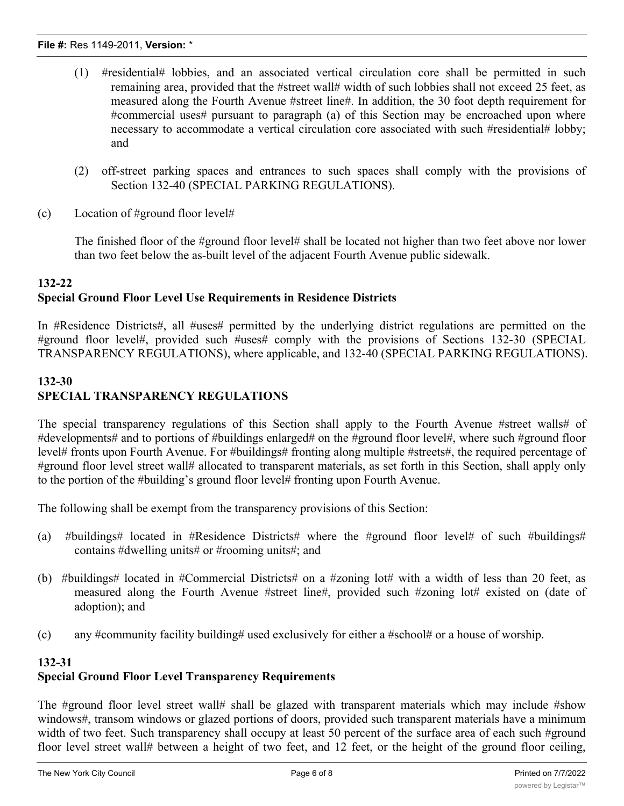- (1) #residential# lobbies, and an associated vertical circulation core shall be permitted in such remaining area, provided that the #street wall# width of such lobbies shall not exceed 25 feet, as measured along the Fourth Avenue #street line#. In addition, the 30 foot depth requirement for #commercial uses# pursuant to paragraph (a) of this Section may be encroached upon where necessary to accommodate a vertical circulation core associated with such #residential# lobby; and
- (2) off-street parking spaces and entrances to such spaces shall comply with the provisions of Section 132-40 (SPECIAL PARKING REGULATIONS).
- (c) Location of #ground floor level#

The finished floor of the #ground floor level# shall be located not higher than two feet above nor lower than two feet below the as-built level of the adjacent Fourth Avenue public sidewalk.

## **132-22 Special Ground Floor Level Use Requirements in Residence Districts**

In #Residence Districts#, all #uses# permitted by the underlying district regulations are permitted on the #ground floor level#, provided such #uses# comply with the provisions of Sections 132-30 (SPECIAL TRANSPARENCY REGULATIONS), where applicable, and 132-40 (SPECIAL PARKING REGULATIONS).

## **132-30 SPECIAL TRANSPARENCY REGULATIONS**

The special transparency regulations of this Section shall apply to the Fourth Avenue #street walls# of #developments# and to portions of #buildings enlarged# on the #ground floor level#, where such #ground floor level# fronts upon Fourth Avenue. For #buildings# fronting along multiple #streets#, the required percentage of #ground floor level street wall# allocated to transparent materials, as set forth in this Section, shall apply only to the portion of the #building's ground floor level# fronting upon Fourth Avenue.

The following shall be exempt from the transparency provisions of this Section:

- (a) #buildings# located in #Residence Districts# where the #ground floor level# of such #buildings# contains #dwelling units# or #rooming units#; and
- (b) #buildings# located in #Commercial Districts# on a #zoning lot# with a width of less than 20 feet, as measured along the Fourth Avenue #street line#, provided such #zoning lot# existed on (date of adoption); and
- (c) any #community facility building# used exclusively for either a #school# or a house of worship.

### **132-31**

# **Special Ground Floor Level Transparency Requirements**

The #ground floor level street wall# shall be glazed with transparent materials which may include #show windows#, transom windows or glazed portions of doors, provided such transparent materials have a minimum width of two feet. Such transparency shall occupy at least 50 percent of the surface area of each such #ground floor level street wall# between a height of two feet, and 12 feet, or the height of the ground floor ceiling,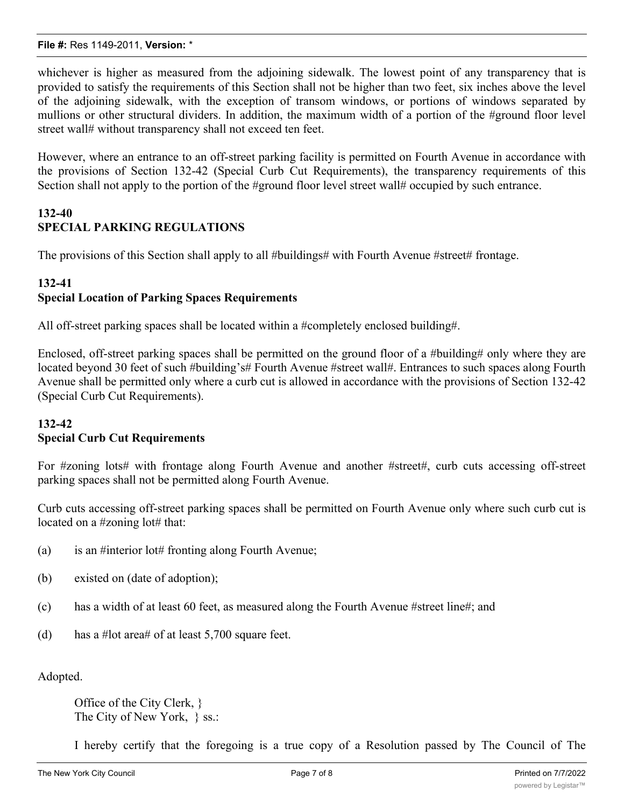whichever is higher as measured from the adjoining sidewalk. The lowest point of any transparency that is provided to satisfy the requirements of this Section shall not be higher than two feet, six inches above the level of the adjoining sidewalk, with the exception of transom windows, or portions of windows separated by mullions or other structural dividers. In addition, the maximum width of a portion of the #ground floor level street wall# without transparency shall not exceed ten feet.

However, where an entrance to an off-street parking facility is permitted on Fourth Avenue in accordance with the provisions of Section 132-42 (Special Curb Cut Requirements), the transparency requirements of this Section shall not apply to the portion of the #ground floor level street wall# occupied by such entrance.

### **132-40 SPECIAL PARKING REGULATIONS**

The provisions of this Section shall apply to all #buildings# with Fourth Avenue #street# frontage.

#### **132-41**

### **Special Location of Parking Spaces Requirements**

All off-street parking spaces shall be located within a #completely enclosed building#.

Enclosed, off-street parking spaces shall be permitted on the ground floor of a #building# only where they are located beyond 30 feet of such #building's# Fourth Avenue #street wall#. Entrances to such spaces along Fourth Avenue shall be permitted only where a curb cut is allowed in accordance with the provisions of Section 132-42 (Special Curb Cut Requirements).

### **132-42 Special Curb Cut Requirements**

For #zoning lots# with frontage along Fourth Avenue and another #street#, curb cuts accessing off-street parking spaces shall not be permitted along Fourth Avenue.

Curb cuts accessing off-street parking spaces shall be permitted on Fourth Avenue only where such curb cut is located on a #zoning lot# that:

- (a) is an #interior lot# fronting along Fourth Avenue;
- (b) existed on (date of adoption);
- (c) has a width of at least 60 feet, as measured along the Fourth Avenue #street line#; and
- (d) has a #lot area# of at least 5,700 square feet.

Adopted.

Office of the City Clerk, } The City of New York, } ss.:

I hereby certify that the foregoing is a true copy of a Resolution passed by The Council of The